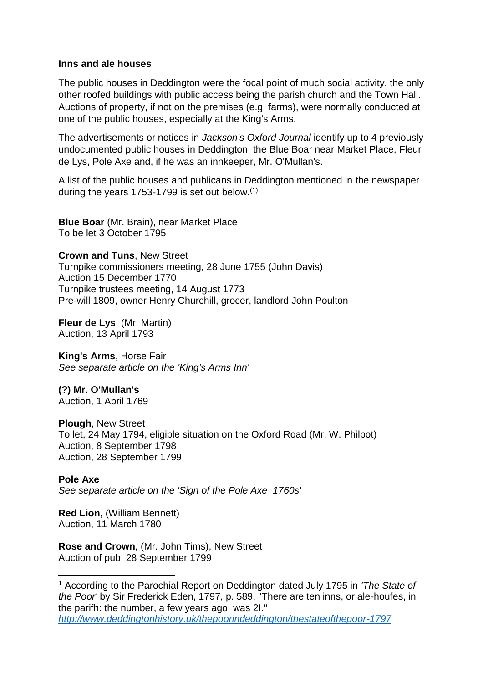## **Inns and ale houses**

The public houses in Deddington were the focal point of much social activity, the only other roofed buildings with public access being the parish church and the Town Hall. Auctions of property, if not on the premises (e.g. farms), were normally conducted at one of the public houses, especially at the King's Arms.

The advertisements or notices in *Jackson's Oxford Journal* identify up to 4 previously undocumented public houses in Deddington, the Blue Boar near Market Place, Fleur de Lys, Pole Axe and, if he was an innkeeper, Mr. O'Mullan's.

A list of the public houses and publicans in Deddington mentioned in the newspaper during the years 1753-1799 is set out below. $(1)$ 

**Blue Boar** (Mr. Brain), near Market Place To be let 3 October 1795

**Crown and Tuns**, New Street Turnpike commissioners meeting, 28 June 1755 (John Davis) Auction 15 December 1770 Turnpike trustees meeting, 14 August 1773 Pre-will 1809, owner Henry Churchill, grocer, landlord John Poulton

**Fleur de Lys**, (Mr. Martin) Auction, 13 April 1793

**King's Arms**, Horse Fair *See separate article on the 'King's Arms Inn'*

**(?) Mr. O'Mullan's** Auction, 1 April 1769

**Plough**, New Street To let, 24 May 1794, eligible situation on the Oxford Road (Mr. W. Philpot) Auction, 8 September 1798 Auction, 28 September 1799

**Pole Axe** *See separate article on the 'Sign of the Pole Axe 1760s'*

**Red Lion**, (William Bennett) Auction, 11 March 1780

1

**Rose and Crown**, (Mr. John Tims), New Street Auction of pub, 28 September 1799

<sup>1</sup> According to the Parochial Report on Deddington dated July 1795 in *'The State of the Poor'* by Sir Frederick Eden, 1797, p. 589, "There are ten inns, or ale-houfes, in the parifh: the number, a few years ago, was 2I." *<http://www.deddingtonhistory.uk/thepoorindeddington/thestateofthepoor-1797>*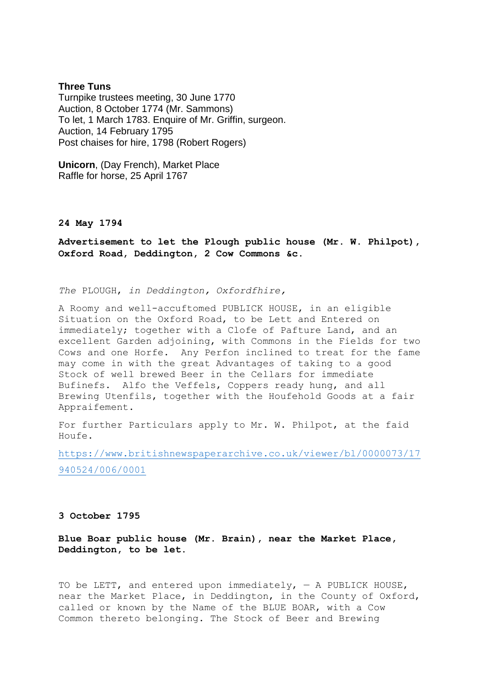## **Three Tuns**

Turnpike trustees meeting, 30 June 1770 Auction, 8 October 1774 (Mr. Sammons) To let, 1 March 1783. Enquire of Mr. Griffin, surgeon. Auction, 14 February 1795 Post chaises for hire, 1798 (Robert Rogers)

**Unicorn**, (Day French), Market Place Raffle for horse, 25 April 1767

## **24 May 1794**

**Advertisement to let the Plough public house (Mr. W. Philpot), Oxford Road, Deddington, 2 Cow Commons &c.**

*The* PLOUGH, *in Deddington, Oxfordfhire,*

A Roomy and well-accuftomed PUBLICK HOUSE, in an eligible Situation on the Oxford Road, to be Lett and Entered on immediately; together with a Clofe of Pafture Land, and an excellent Garden adjoining, with Commons in the Fields for two Cows and one Horfe. Any Perfon inclined to treat for the fame may come in with the great Advantages of taking to a good Stock of well brewed Beer in the Cellars for immediate Bufinefs. Alfo the Veffels, Coppers ready hung, and all Brewing Utenfils, together with the Houfehold Goods at a fair Appraifement.

For further Particulars apply to Mr. W. Philpot, at the faid  $H \cap H \cap F$ 

[https://www.britishnewspaperarchive.co.uk/viewer/bl/0000073/17](https://www.britishnewspaperarchive.co.uk/viewer/bl/0000073/17940524/006/0001) [940524/006/0001](https://www.britishnewspaperarchive.co.uk/viewer/bl/0000073/17940524/006/0001)

## **3 October 1795**

**Blue Boar public house (Mr. Brain), near the Market Place, Deddington, to be let.**

TO be LETT, and entered upon immediately,  $-$  A PUBLICK HOUSE, near the Market Place, in Deddington, in the County of Oxford, called or known by the Name of the BLUE BOAR, with a Cow Common thereto belonging. The Stock of Beer and Brewing